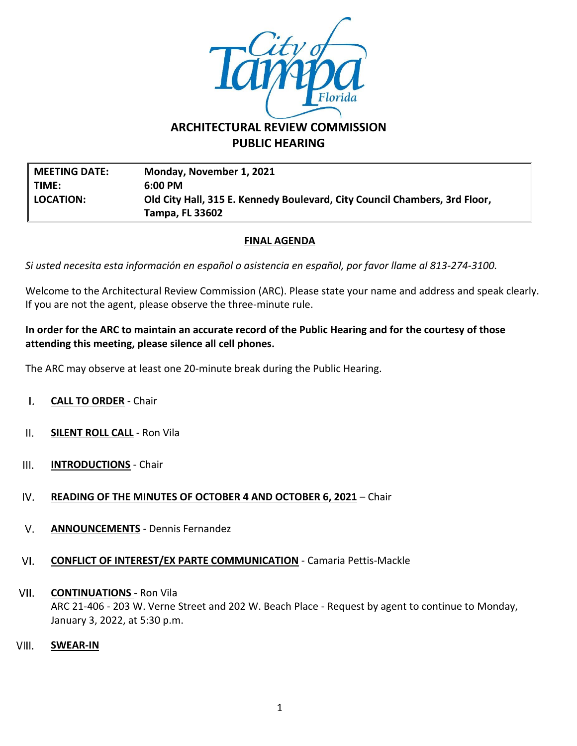

# **ARCHITECTURAL REVIEW COMMISSION PUBLIC HEARING**

**MEETING DATE: Monday, November 1, 2021 TIME: 6:00 PM LOCATION: Old City Hall, 315 E. Kennedy Boulevard, City Council Chambers, 3rd Floor, Tampa, FL 33602**

## **FINAL AGENDA**

*Si usted necesita esta información en español o asistencia en español, por favor llame al 813-274-3100.*

Welcome to the Architectural Review Commission (ARC). Please state your name and address and speak clearly. If you are not the agent, please observe the three-minute rule.

### **In order for the ARC to maintain an accurate record of the Public Hearing and for the courtesy of those attending this meeting, please silence all cell phones.**

The ARC may observe at least one 20-minute break during the Public Hearing.

- $\mathbf{L}$ **CALL TO ORDER** - Chair
- $II.$ **SILENT ROLL CALL** - Ron Vila
- $III.$ **INTRODUCTIONS** - Chair
- IV. **READING OF THE MINUTES OF OCTOBER 4 AND OCTOBER 6, 2021** – Chair
- $V_{\star}$ **ANNOUNCEMENTS** - Dennis Fernandez
- VI. **CONFLICT OF INTEREST/EX PARTE COMMUNICATION** - Camaria Pettis-Mackle
- VII. **CONTINUATIONS** - Ron Vila ARC 21-406 - 203 W. Verne Street and 202 W. Beach Place - Request by agent to continue to Monday, January 3, 2022, at 5:30 p.m.
- VIII. **SWEAR-IN**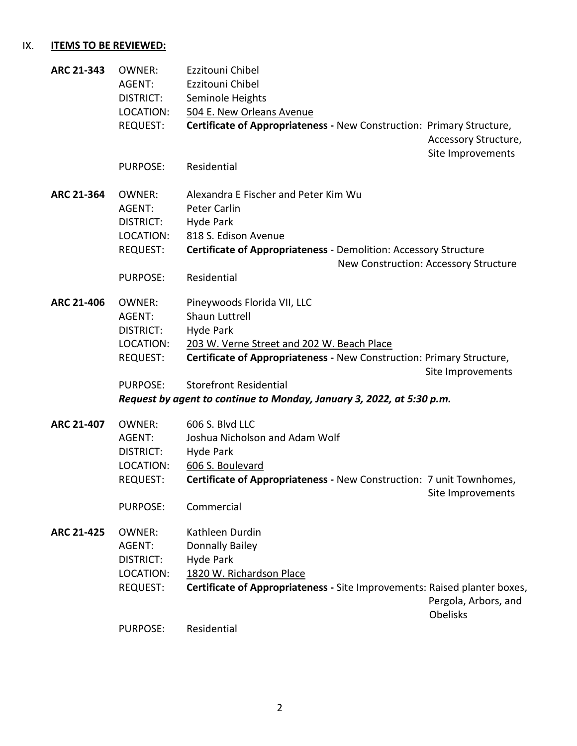#### $IX.$ **ITEMS TO BE REVIEWED:**

| ARC 21-343        | <b>OWNER:</b><br>AGENT:<br><b>DISTRICT:</b><br>LOCATION:      | Ezzitouni Chibel<br>Ezzitouni Chibel<br>Seminole Heights<br>504 E. New Orleans Avenue                                                                                |                                           |
|-------------------|---------------------------------------------------------------|----------------------------------------------------------------------------------------------------------------------------------------------------------------------|-------------------------------------------|
|                   | <b>REQUEST:</b>                                               | Certificate of Appropriateness - New Construction: Primary Structure,                                                                                                | Accessory Structure,<br>Site Improvements |
|                   | <b>PURPOSE:</b>                                               | Residential                                                                                                                                                          |                                           |
| ARC 21-364        | <b>OWNER:</b><br>AGENT:<br>DISTRICT:<br>LOCATION:<br>REQUEST: | Alexandra E Fischer and Peter Kim Wu<br><b>Peter Carlin</b><br>Hyde Park<br>818 S. Edison Avenue<br>Certificate of Appropriateness - Demolition: Accessory Structure |                                           |
|                   |                                                               | New Construction: Accessory Structure                                                                                                                                |                                           |
|                   | <b>PURPOSE:</b>                                               | Residential                                                                                                                                                          |                                           |
| ARC 21-406        | <b>OWNER:</b><br>AGENT:<br><b>DISTRICT:</b><br>LOCATION:      | Pineywoods Florida VII, LLC<br>Shaun Luttrell<br>Hyde Park<br>203 W. Verne Street and 202 W. Beach Place                                                             |                                           |
|                   | REQUEST:                                                      | Certificate of Appropriateness - New Construction: Primary Structure,                                                                                                | Site Improvements                         |
|                   | <b>PURPOSE:</b>                                               | <b>Storefront Residential</b>                                                                                                                                        |                                           |
|                   |                                                               | Request by agent to continue to Monday, January 3, 2022, at 5:30 p.m.                                                                                                |                                           |
| ARC 21-407        | <b>OWNER:</b><br>AGENT:<br><b>DISTRICT:</b><br>LOCATION:      | 606 S. Blvd LLC<br>Joshua Nicholson and Adam Wolf<br>Hyde Park<br>606 S. Boulevard                                                                                   |                                           |
|                   | <b>REQUEST:</b>                                               | Certificate of Appropriateness - New Construction: 7 unit Townhomes,                                                                                                 | Site Improvements                         |
|                   | PURPOSE:                                                      | Commercial                                                                                                                                                           |                                           |
| <b>ARC 21-425</b> | <b>OWNER:</b><br>AGENT:<br><b>DISTRICT:</b><br>LOCATION:      | Kathleen Durdin<br><b>Donnally Bailey</b><br>Hyde Park<br>1820 W. Richardson Place                                                                                   |                                           |
|                   | <b>REQUEST:</b>                                               | Certificate of Appropriateness - Site Improvements: Raised planter boxes,                                                                                            | Pergola, Arbors, and<br><b>Obelisks</b>   |
|                   | <b>PURPOSE:</b>                                               | Residential                                                                                                                                                          |                                           |